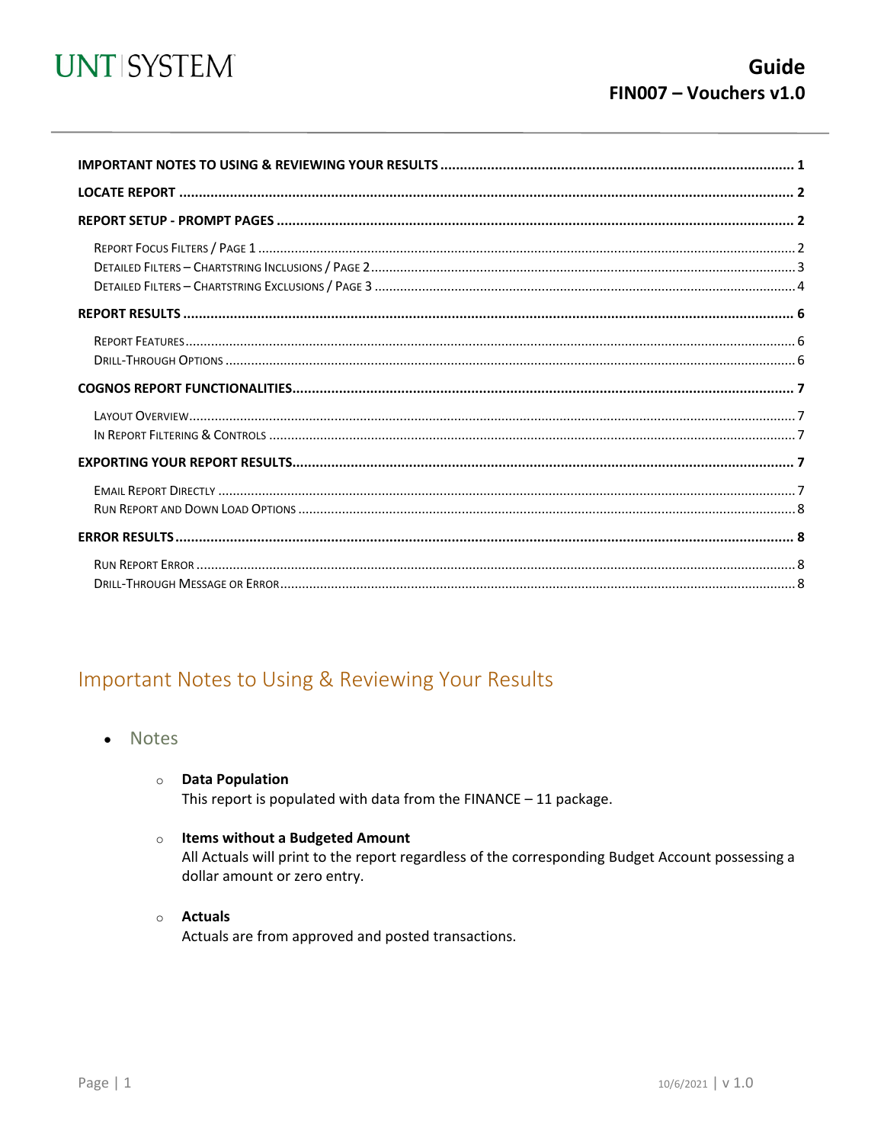

<span id="page-0-0"></span>

# Important Notes to Using & Reviewing Your Results

- Notes  $\bullet$ 
	- **O** Data Population

This report is populated with data from the  $FINANCE - 11$  package.

#### o Items without a Budgeted Amount

All Actuals will print to the report regardless of the corresponding Budget Account possessing a dollar amount or zero entry.

#### o Actuals

Actuals are from approved and posted transactions.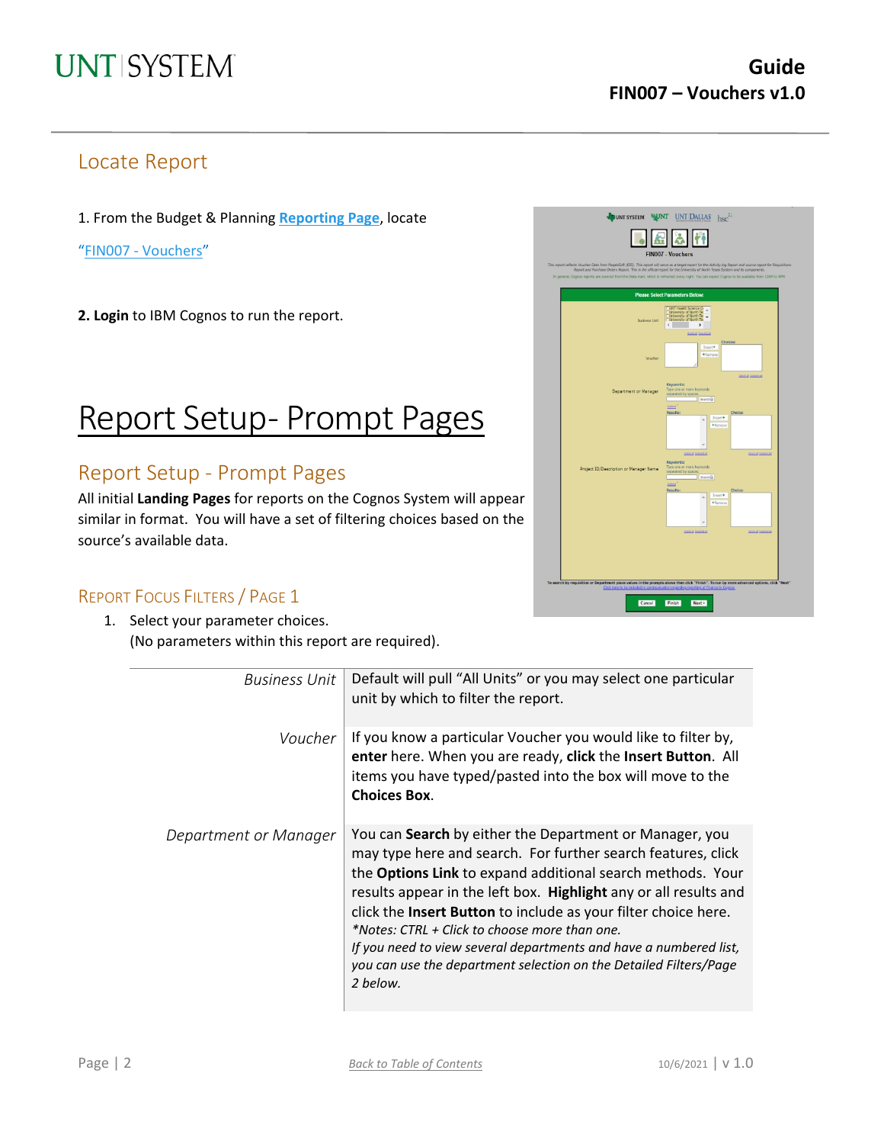## Locate Report

1. From the Budget & Planning **[Reporting Page](https://finance.untsystem.edu/reporting)**, locate

"FIN007 - [Vouchers"](https://cognospd.admin.unt.edu/bi/?pathRef=.public_folders%2FUniversity%2Bof%2BNorth%2BTexas%2BSystem%2FAccounts%2BPayable%2FFIN007%2B-%2BVouchers)

**2. Login** to IBM Cognos to run the report.

# Report Setup- Prompt Pages

## Report Setup - Prompt Pages

All initial **Landing Pages** for reports on the Cognos System will appear similar in format. You will have a set of filtering choices based on the source's available data.



### REPORT FOCUS FILTERS / PAGE 1

1. Select your parameter choices. (No parameters within this report are required).

| <b>Business Unit</b>  | Default will pull "All Units" or you may select one particular<br>unit by which to filter the report.                                                                                                                                                                                                                                                                                                                                                                                                                              |
|-----------------------|------------------------------------------------------------------------------------------------------------------------------------------------------------------------------------------------------------------------------------------------------------------------------------------------------------------------------------------------------------------------------------------------------------------------------------------------------------------------------------------------------------------------------------|
| Voucher               | If you know a particular Voucher you would like to filter by,<br>enter here. When you are ready, click the Insert Button. All<br>items you have typed/pasted into the box will move to the<br><b>Choices Box.</b>                                                                                                                                                                                                                                                                                                                  |
| Department or Manager | You can Search by either the Department or Manager, you<br>may type here and search. For further search features, click<br>the Options Link to expand additional search methods. Your<br>results appear in the left box. Highlight any or all results and<br>click the Insert Button to include as your filter choice here.<br>*Notes: CTRL + Click to choose more than one.<br>If you need to view several departments and have a numbered list,<br>you can use the department selection on the Detailed Filters/Page<br>2 below. |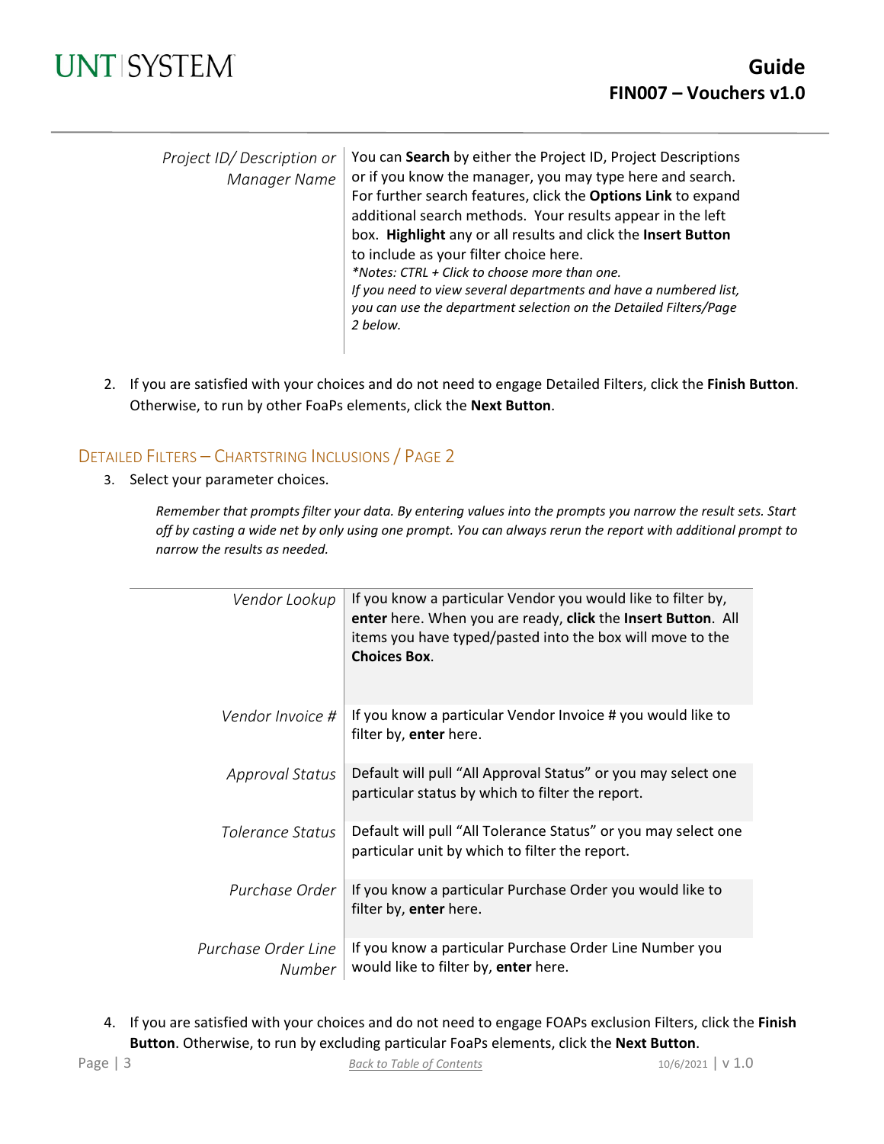

| Project ID/Description or<br>Manager Name | You can Search by either the Project ID, Project Descriptions<br>or if you know the manager, you may type here and search.<br>For further search features, click the Options Link to expand<br>additional search methods. Your results appear in the left<br>box. Highlight any or all results and click the Insert Button<br>to include as your filter choice here.<br>*Notes: CTRL + Click to choose more than one.<br>If you need to view several departments and have a numbered list,<br>you can use the department selection on the Detailed Filters/Page<br>2 below. |
|-------------------------------------------|-----------------------------------------------------------------------------------------------------------------------------------------------------------------------------------------------------------------------------------------------------------------------------------------------------------------------------------------------------------------------------------------------------------------------------------------------------------------------------------------------------------------------------------------------------------------------------|
|                                           |                                                                                                                                                                                                                                                                                                                                                                                                                                                                                                                                                                             |

2. If you are satisfied with your choices and do not need to engage Detailed Filters, click the **Finish Button**. Otherwise, to run by other FoaPs elements, click the **Next Button**.

### DETAILED FILTERS – CHARTSTRING INCLUSIONS / PAGE 2

3. Select your parameter choices.

*Remember that prompts filter your data. By entering values into the prompts you narrow the result sets. Start off by casting a wide net by only using one prompt. You can always rerun the report with additional prompt to narrow the results as needed.*

| Vendor Lookup                 | If you know a particular Vendor you would like to filter by,<br>enter here. When you are ready, click the Insert Button. All<br>items you have typed/pasted into the box will move to the<br><b>Choices Box.</b> |
|-------------------------------|------------------------------------------------------------------------------------------------------------------------------------------------------------------------------------------------------------------|
| Vendor Invoice #              | If you know a particular Vendor Invoice # you would like to<br>filter by, enter here.                                                                                                                            |
| <b>Approval Status</b>        | Default will pull "All Approval Status" or you may select one<br>particular status by which to filter the report.                                                                                                |
| Tolerance Status              | Default will pull "All Tolerance Status" or you may select one<br>particular unit by which to filter the report.                                                                                                 |
| Purchase Order                | If you know a particular Purchase Order you would like to<br>filter by, enter here.                                                                                                                              |
| Purchase Order Line<br>Number | If you know a particular Purchase Order Line Number you<br>would like to filter by, enter here.                                                                                                                  |

4. If you are satisfied with your choices and do not need to engage FOAPs exclusion Filters, click the **Finish Button**. Otherwise, to run by excluding particular FoaPs elements, click the **Next Button**.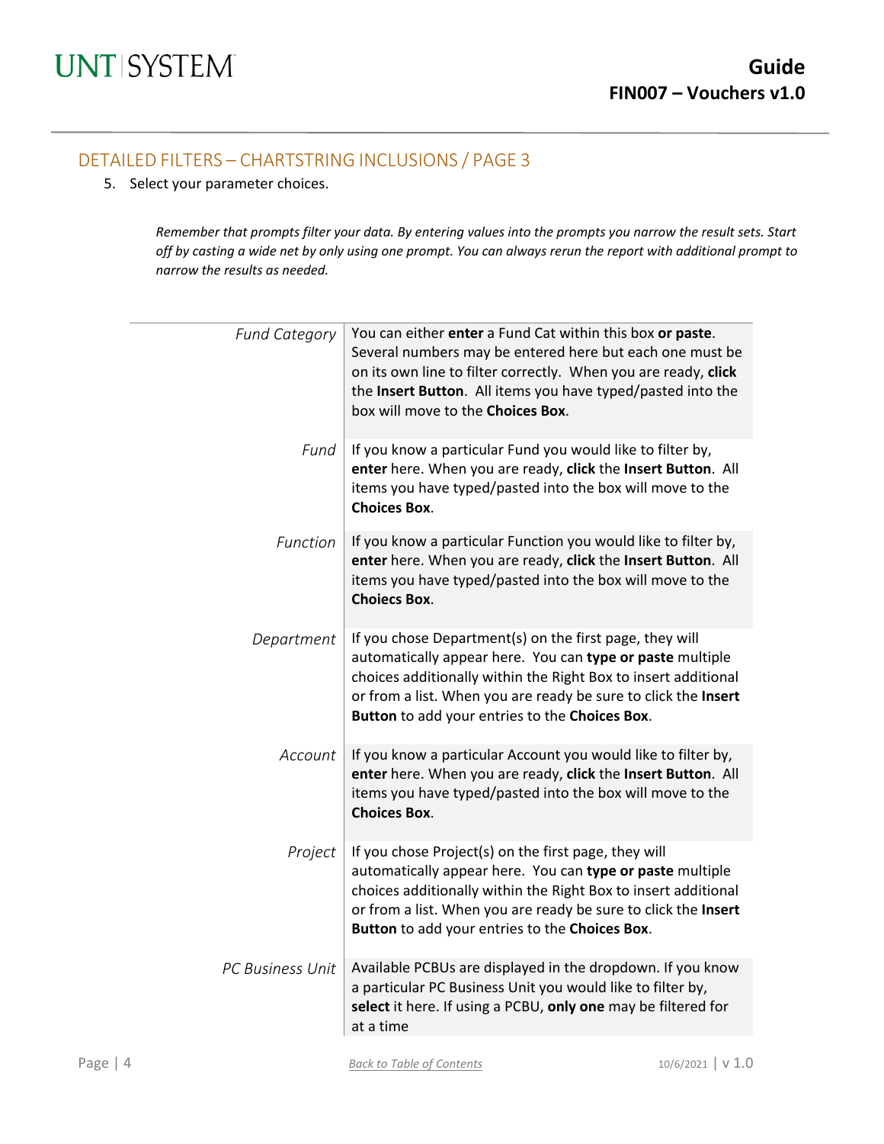### DETAILED FILTERS – CHARTSTRING INCLUSIONS / PAGE 3

5. Select your parameter choices.

*Remember that prompts filter your data. By entering values into the prompts you narrow the result sets. Start off by casting a wide net by only using one prompt. You can always rerun the report with additional prompt to narrow the results as needed.*

| <b>Fund Category</b>    | You can either enter a Fund Cat within this box or paste.<br>Several numbers may be entered here but each one must be<br>on its own line to filter correctly. When you are ready, click<br>the Insert Button. All items you have typed/pasted into the<br>box will move to the Choices Box.                |
|-------------------------|------------------------------------------------------------------------------------------------------------------------------------------------------------------------------------------------------------------------------------------------------------------------------------------------------------|
| Fund                    | If you know a particular Fund you would like to filter by,<br>enter here. When you are ready, click the Insert Button. All<br>items you have typed/pasted into the box will move to the<br><b>Choices Box.</b>                                                                                             |
| Function                | If you know a particular Function you would like to filter by,<br>enter here. When you are ready, click the Insert Button. All<br>items you have typed/pasted into the box will move to the<br><b>Choiecs Box.</b>                                                                                         |
| Department              | If you chose Department(s) on the first page, they will<br>automatically appear here. You can type or paste multiple<br>choices additionally within the Right Box to insert additional<br>or from a list. When you are ready be sure to click the Insert<br>Button to add your entries to the Choices Box. |
| Account                 | If you know a particular Account you would like to filter by,<br>enter here. When you are ready, click the Insert Button. All<br>items you have typed/pasted into the box will move to the<br><b>Choices Box.</b>                                                                                          |
| Project                 | If you chose Project(s) on the first page, they will<br>automatically appear here. You can type or paste multiple<br>choices additionally within the Right Box to insert additional<br>or from a list. When you are ready be sure to click the Insert<br>Button to add your entries to the Choices Box.    |
| <b>PC Business Unit</b> | Available PCBUs are displayed in the dropdown. If you know<br>a particular PC Business Unit you would like to filter by,<br>select it here. If using a PCBU, only one may be filtered for<br>at a time                                                                                                     |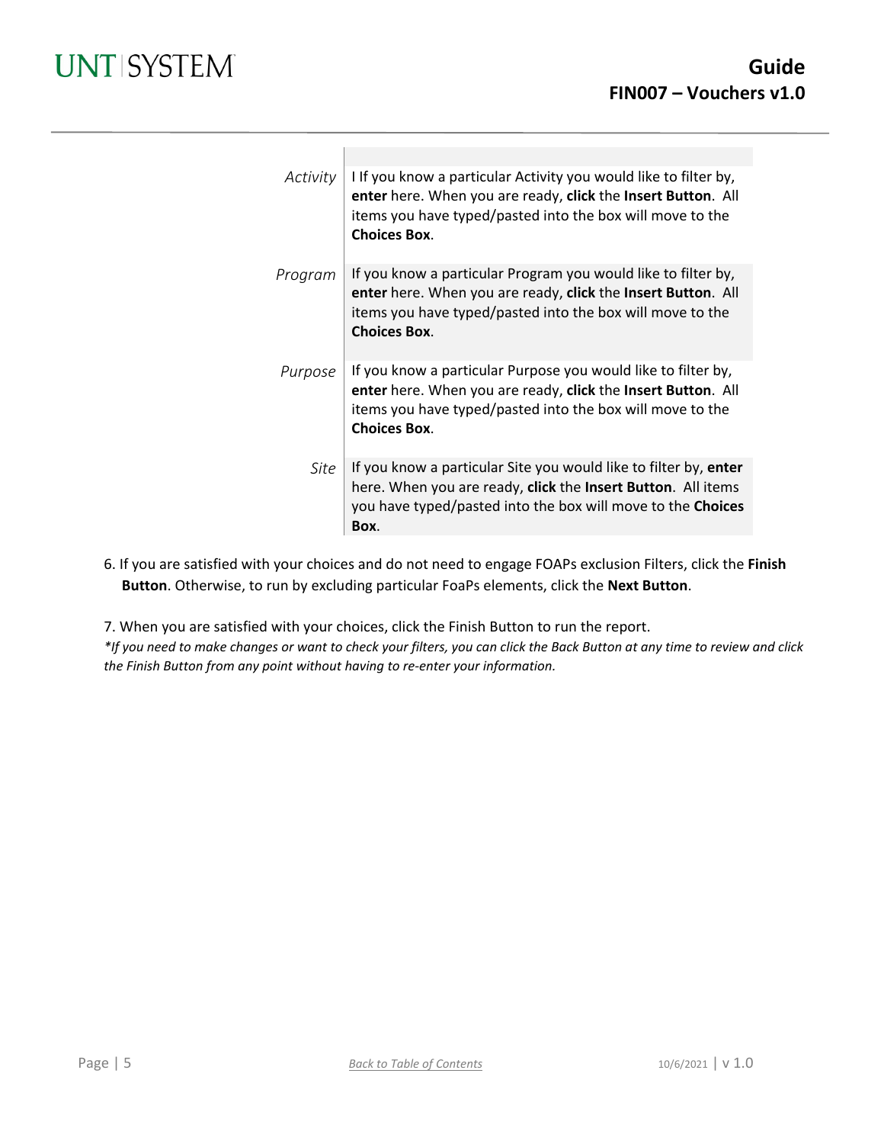| Activity | I If you know a particular Activity you would like to filter by,<br>enter here. When you are ready, click the Insert Button. All<br>items you have typed/pasted into the box will move to the<br><b>Choices Box.</b> |
|----------|----------------------------------------------------------------------------------------------------------------------------------------------------------------------------------------------------------------------|
| Program  | If you know a particular Program you would like to filter by,<br>enter here. When you are ready, click the Insert Button. All<br>items you have typed/pasted into the box will move to the<br><b>Choices Box.</b>    |
| Purpose  | If you know a particular Purpose you would like to filter by,<br>enter here. When you are ready, click the Insert Button. All<br>items you have typed/pasted into the box will move to the<br><b>Choices Box.</b>    |
| Site     | If you know a particular Site you would like to filter by, enter<br>here. When you are ready, click the Insert Button. All items<br>you have typed/pasted into the box will move to the Choices<br>Box.              |

6. If you are satisfied with your choices and do not need to engage FOAPs exclusion Filters, click the **Finish Button**. Otherwise, to run by excluding particular FoaPs elements, click the **Next Button**.

7. When you are satisfied with your choices, click the Finish Button to run the report.

*\*If you need to make changes or want to check your filters, you can click the Back Button at any time to review and click the Finish Button from any point without having to re-enter your information.*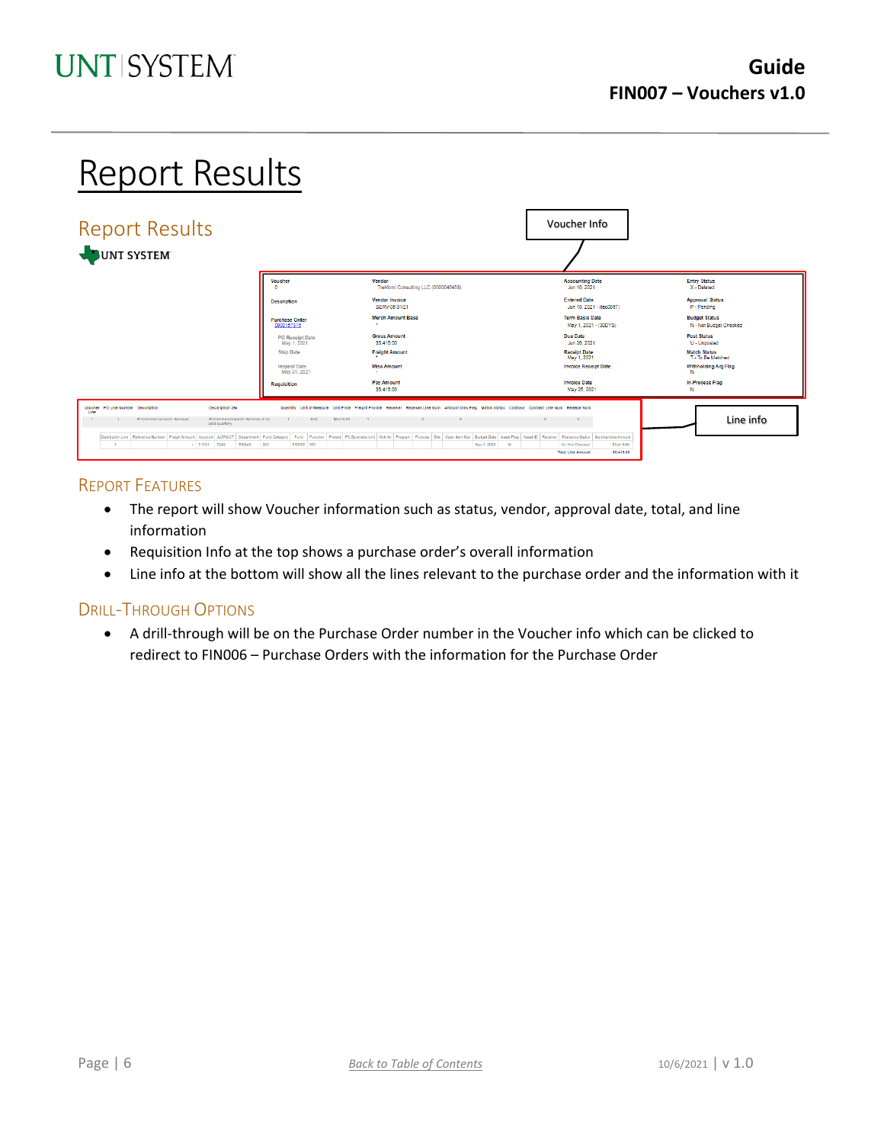# Report Results

| <b>Report Results</b><br>JUNT SYSTEM                                                                                                                    |                                       |                                                                                                                                                                                                                                                    | Voucher Info                                                            |                                                |
|---------------------------------------------------------------------------------------------------------------------------------------------------------|---------------------------------------|----------------------------------------------------------------------------------------------------------------------------------------------------------------------------------------------------------------------------------------------------|-------------------------------------------------------------------------|------------------------------------------------|
|                                                                                                                                                         | Voucher                               | Vendor<br>TreMonti Consulting LLC (0000046458)                                                                                                                                                                                                     | <b>Accounting Date</b><br>Jun 10, 2021                                  | <b>Entry Status</b><br>X - Deleted             |
|                                                                                                                                                         | <b>Description</b>                    | <b>Vendor Invoice</b><br>SERV-05/31/21                                                                                                                                                                                                             | <b>Entered Date</b><br>Jun 10, 2021 - (tec0057)                         | <b>Approval Status</b><br>P - Pending          |
|                                                                                                                                                         | <b>Purchase Order</b><br>0000157916   | <b>Merch Amount Base</b>                                                                                                                                                                                                                           | <b>Term Basis Date</b><br>May 1, 2021 - (30DYS)                         | <b>Budget Status</b><br>N - Not Budget Checked |
|                                                                                                                                                         | <b>PO</b> Receipt Date<br>May 1, 2021 | <b>Gross Amount</b><br>\$5,416.00                                                                                                                                                                                                                  | Due Date<br>Jun 26, 2021                                                | <b>Post Status</b><br>U - Unposted             |
|                                                                                                                                                         | <b>Ship Date</b>                      | <b>Freight Amount</b>                                                                                                                                                                                                                              | <b>Receipt Date</b><br>May 1, 2021                                      | <b>Match Status</b><br>T - To Be Matched       |
|                                                                                                                                                         | <b>Inspect Date</b><br>May 31, 2021   | <b>Misc Amount</b>                                                                                                                                                                                                                                 | <b>Invoice Receipt Date</b>                                             | Withholding Adj Flag                           |
|                                                                                                                                                         | <b>Requisition</b>                    | <b>Pay Amount</b><br>S5.416.00                                                                                                                                                                                                                     | <b>Invoice Date</b><br>May 25, 2021                                     | <b>In-Process Flag</b><br>N                    |
| Voucher PO Line Number Decoription<br>Description 264<br>Line<br>IP Commercialization Services<br>IP Commercialization Services to be<br>paid quarterly | <b>SVC</b><br>\$5416.00               | Quantity Unit of Measure Unit Price Freight Prorate Receiver Receiver Line Num Amount Only Flag Match Status Contract Contract Line Num Release Num<br>$\mathbf{v}$<br>$\sqrt{2}$                                                                  |                                                                         | Line info                                      |
| $- 51331 7240$<br>390040<br>$\sim$ 1                                                                                                                    | 202<br>850000 550                     | Distribution Line Reference Number Freigh Amount   Account   ALTACCT   Department   Fund Category   Fund   Fundcon   Project   PC Business Unit   Activity   Program   Purpose   Site   Open Item Key   Budget Date   Asset Fl<br>Sep 1, 2020<br>N | N - Not Checked<br>\$5,416.00<br>\$5,418.00<br><b>Total Line Amount</b> |                                                |

#### REPORT FEATURES

- The report will show Voucher information such as status, vendor, approval date, total, and line information
- Requisition Info at the top shows a purchase order's overall information
- Line info at the bottom will show all the lines relevant to the purchase order and the information with it

#### DRILL-THROUGH OPTIONS

• A drill-through will be on the Purchase Order number in the Voucher info which can be clicked to redirect to FIN006 – Purchase Orders with the information for the Purchase Order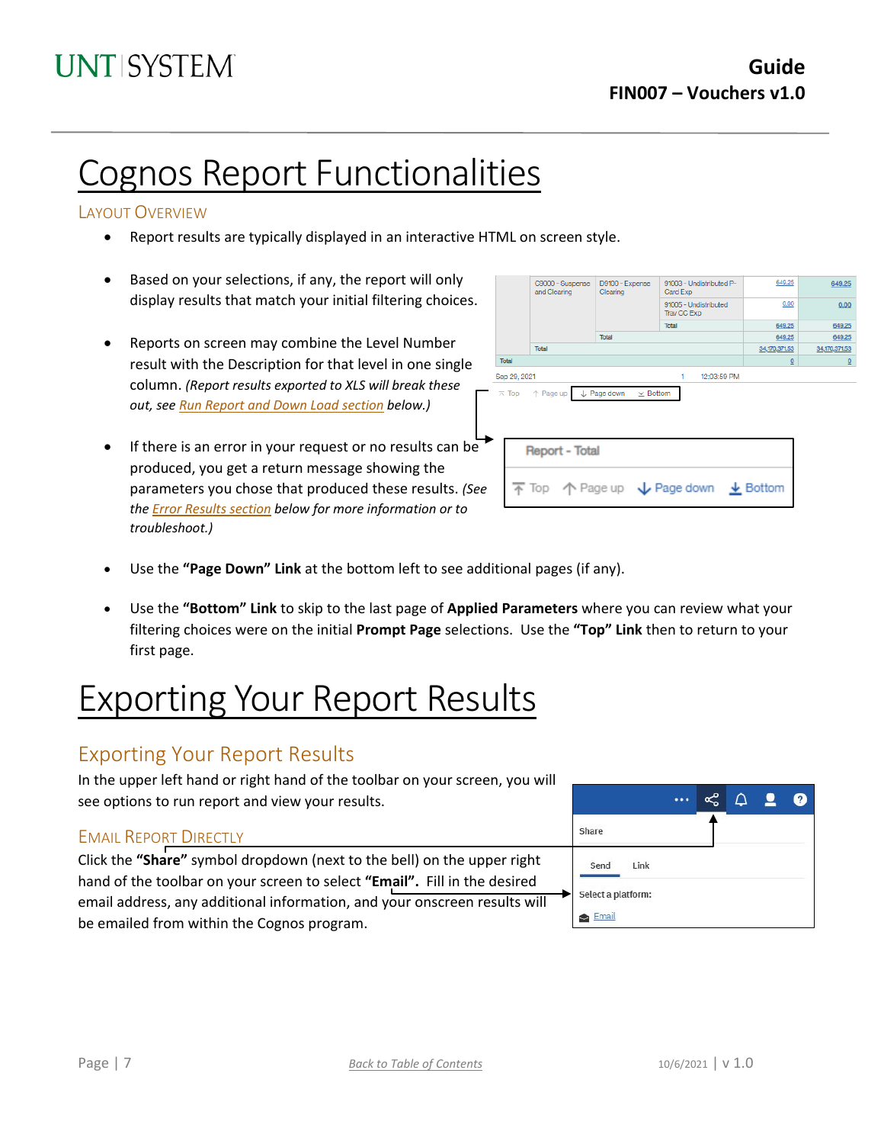# Cognos Report Functionalities

### LAYOUT OVERVIEW

- Report results are typically displayed in an interactive HTML on screen style.
- Based on your selections, if any, the report will only display results that match your initial filtering choices.
- Reports on screen may combine the Level Number result with the Description for that level in one single column. *(Report results exported to XLS will break these out, see Run Report and Down Load section below.)*
- If there is an error in your request or no results can be produced, you get a return message showing the parameters you chose that produced these results. *(See th[e Error Results section](#page-7-0) below for more information or to troubleshoot.)*

|                         | C9000 - Suspense<br>and Clearing | D9100 - Expense<br>Clearing    | 91003 - Undistributed P-<br>Card Exp                                                    | 649.25                   | 649.25         |
|-------------------------|----------------------------------|--------------------------------|-----------------------------------------------------------------------------------------|--------------------------|----------------|
|                         |                                  |                                | 91005 - Undistributed<br>Trav CC Exp                                                    | 0.00                     | 0.00           |
|                         |                                  |                                | Total                                                                                   | 649.25                   | 649.25         |
|                         |                                  | Total                          |                                                                                         | 649.25                   | 649.25         |
|                         | Total                            |                                |                                                                                         | 34,170,371.53            | 34,170,371.53  |
| Total                   |                                  |                                |                                                                                         | $\underline{\mathsf{O}}$ | $\overline{0}$ |
| Sep 29, 2021            |                                  |                                | 12:03:59 PM<br>1                                                                        |                          |                |
| $\overline{\wedge}$ Top | ↑ Page up                        | L Page down<br>$\times$ Bottom |                                                                                         |                          |                |
|                         | <b>Report - Total</b>            |                                |                                                                                         |                          |                |
|                         |                                  |                                | $\overline{\uparrow}$ Top $\uparrow$ Page up $\downarrow$ Page down $\downarrow$ Bottom |                          |                |
|                         |                                  |                                |                                                                                         |                          |                |

- Use the **"Page Down" Link** at the bottom left to see additional pages (if any).
- Use the **"Bottom" Link** to skip to the last page of **Applied Parameters** where you can review what your filtering choices were on the initial **Prompt Page** selections. Use the **"Top" Link** then to return to your first page.

# Exporting Your Report Results

## Exporting Your Report Results

In the upper left hand or right hand of the toolbar on your screen, you will see options to run report and view your results.

### EMAIL REPORT DIRECTLY

Click the **"Share"** symbol dropdown (next to the bell) on the upper right hand of the toolbar on your screen to select **"Email".** Fill in the desired email address, any additional information, and your onscreen results will be emailed from within the Cognos program.

|                    |  | 2 | . ? ) |
|--------------------|--|---|-------|
| Share              |  |   |       |
| Send<br>Link       |  |   |       |
| Select a platform: |  |   |       |
| Email              |  |   |       |